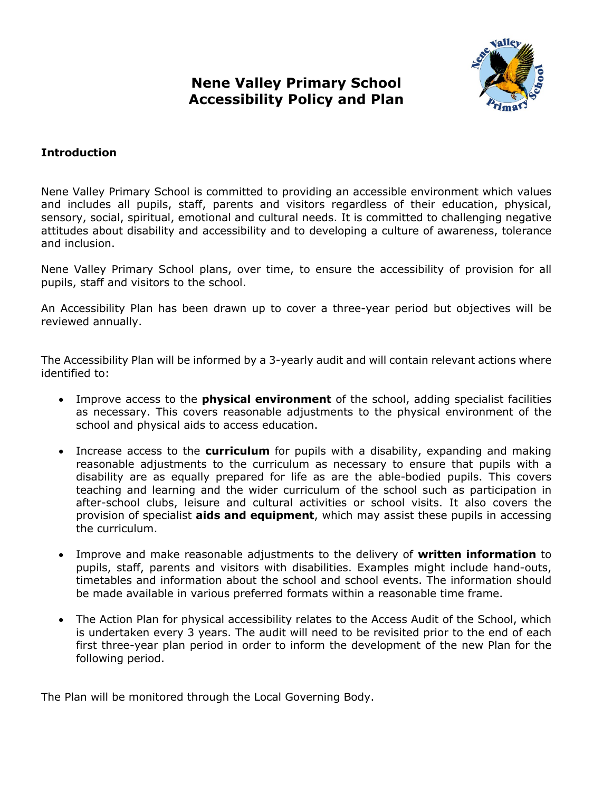**Nene Valley Primary School Accessibility Policy and Plan**



# **Introduction**

Nene Valley Primary School is committed to providing an accessible environment which values and includes all pupils, staff, parents and visitors regardless of their education, physical, sensory, social, spiritual, emotional and cultural needs. It is committed to challenging negative attitudes about disability and accessibility and to developing a culture of awareness, tolerance and inclusion.

Nene Valley Primary School plans, over time, to ensure the accessibility of provision for all pupils, staff and visitors to the school.

An Accessibility Plan has been drawn up to cover a three-year period but objectives will be reviewed annually.

The Accessibility Plan will be informed by a 3-yearly audit and will contain relevant actions where identified to:

- Improve access to the **physical environment** of the school, adding specialist facilities as necessary. This covers reasonable adjustments to the physical environment of the school and physical aids to access education.
- Increase access to the **curriculum** for pupils with a disability, expanding and making reasonable adjustments to the curriculum as necessary to ensure that pupils with a disability are as equally prepared for life as are the able-bodied pupils. This covers teaching and learning and the wider curriculum of the school such as participation in after-school clubs, leisure and cultural activities or school visits. It also covers the provision of specialist **aids and equipment**, which may assist these pupils in accessing the curriculum.
- Improve and make reasonable adjustments to the delivery of **written information** to pupils, staff, parents and visitors with disabilities. Examples might include hand-outs, timetables and information about the school and school events. The information should be made available in various preferred formats within a reasonable time frame.
- The Action Plan for physical accessibility relates to the Access Audit of the School, which is undertaken every 3 years. The audit will need to be revisited prior to the end of each first three-year plan period in order to inform the development of the new Plan for the following period.

The Plan will be monitored through the Local Governing Body.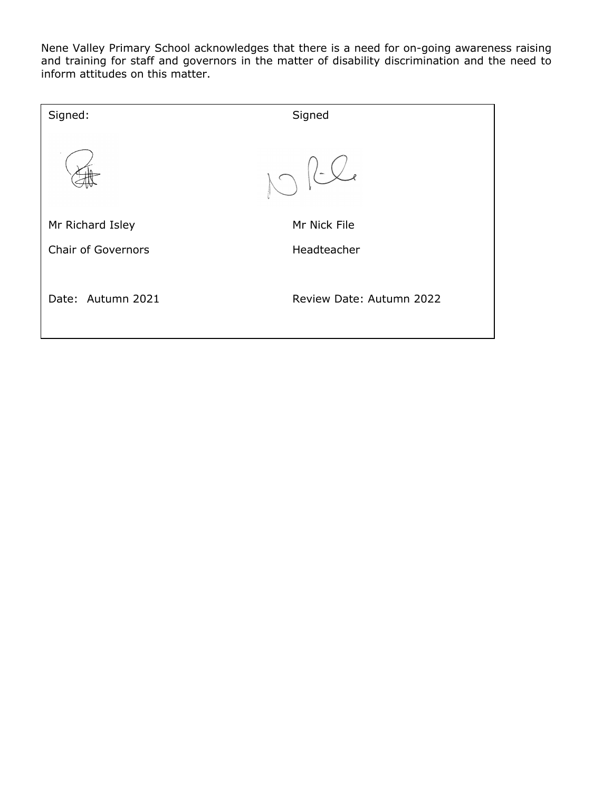Nene Valley Primary School acknowledges that there is a need for on-going awareness raising and training for staff and governors in the matter of disability discrimination and the need to inform attitudes on this matter.

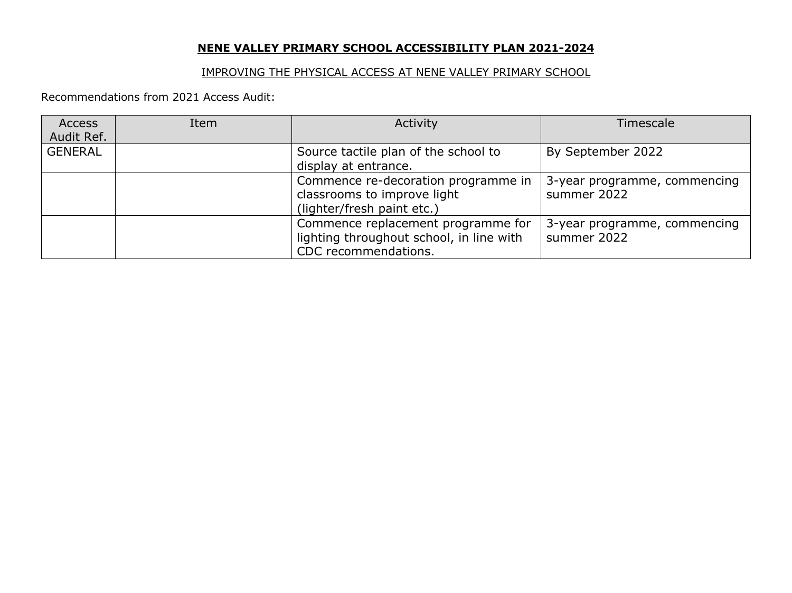## **NENE VALLEY PRIMARY SCHOOL ACCESSIBILITY PLAN 2021-2024**

## IMPROVING THE PHYSICAL ACCESS AT NENE VALLEY PRIMARY SCHOOL

Recommendations from 2021 Access Audit:

| <b>Access</b>  | Item | Activity                                                                                               | Timescale                                   |
|----------------|------|--------------------------------------------------------------------------------------------------------|---------------------------------------------|
| Audit Ref.     |      |                                                                                                        |                                             |
| <b>GENERAL</b> |      | Source tactile plan of the school to                                                                   | By September 2022                           |
|                |      | display at entrance.                                                                                   |                                             |
|                |      | Commence re-decoration programme in<br>classrooms to improve light<br>(lighter/fresh paint etc.)       | 3-year programme, commencing<br>summer 2022 |
|                |      | Commence replacement programme for<br>lighting throughout school, in line with<br>CDC recommendations. | 3-year programme, commencing<br>summer 2022 |